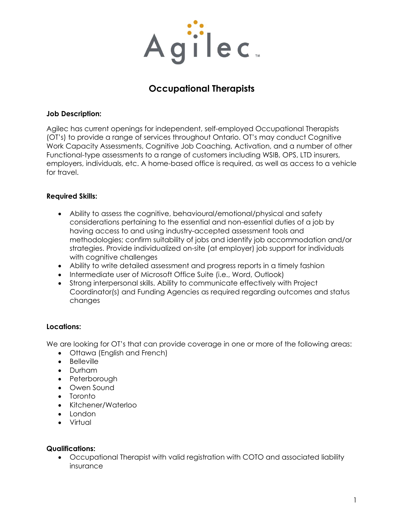

# **Occupational Therapists**

#### **Job Description:**

Agilec has current openings for independent, self-employed Occupational Therapists (OT's) to provide a range of services throughout Ontario. OT's may conduct Cognitive Work Capacity Assessments, Cognitive Job Coaching, Activation, and a number of other Functional-type assessments to a range of customers including WSIB, OPS, LTD insurers, employers, individuals, etc. A home-based office is required, as well as access to a vehicle for travel.

### **Required Skills:**

- Ability to assess the cognitive, behavioural/emotional/physical and safety considerations pertaining to the essential and non-essential duties of a job by having access to and using industry-accepted assessment tools and methodologies; confirm suitability of jobs and identify job accommodation and/or strategies. Provide individualized on-site (at employer) job support for individuals with cognitive challenges
- Ability to write detailed assessment and progress reports in a timely fashion
- Intermediate user of Microsoft Office Suite (i.e., Word, Outlook)
- Strong interpersonal skills. Ability to communicate effectively with Project Coordinator(s) and Funding Agencies as required regarding outcomes and status changes

### **Locations:**

We are looking for OT's that can provide coverage in one or more of the following areas:

- Ottawa (English and French)
- Belleville
- Durham
- Peterborough
- Owen Sound
- Toronto
- Kitchener/Waterloo
- London
- Virtual

#### **Qualifications:**

• Occupational Therapist with valid registration with COTO and associated liability insurance